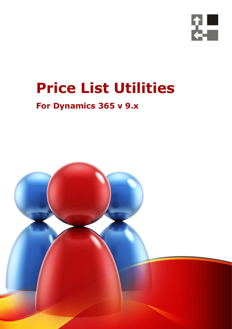

## **Price List Utilities**

## **For Dynamics 365 v 9.x**

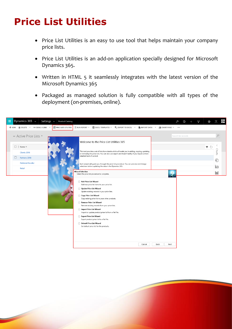## **Price List Utilities**

Document Name

- Price List Utilities is an easy to use tool that helps maintain your company price lists.
- Price List Utilities is an add-on application specially designed for Microsoft Dynamics 365.
- Written in HTML 5 it seamlessly integrates with the latest version of the Microsoft Dynamics 365
- Packaged as managed solution is fully compatible with all types of the deployment (on-premises, online).



Your Company Name (C) Copyright (Print Date) All Rights Reserved